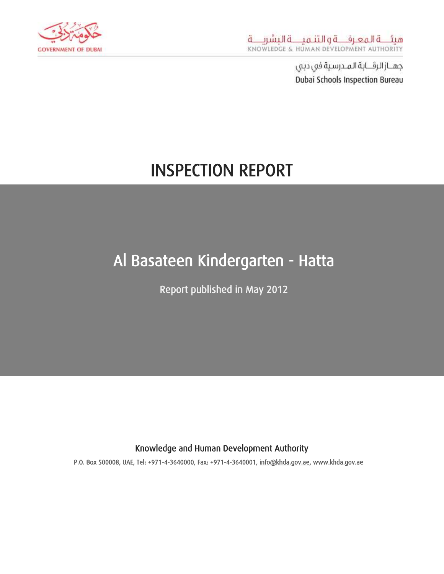

# INSPECTION REPORT

## Al Basateen Kindergarten - Hatta

Report published in May 2012

#### Knowledge and Human Development Authority

P.O. Box 500008, UAE, Tel: +971-4-3640000, Fax: +971-4-3640001, [info@khda.gov.ae,](mailto:info@khda.gov.ae) www.khda.gov.ae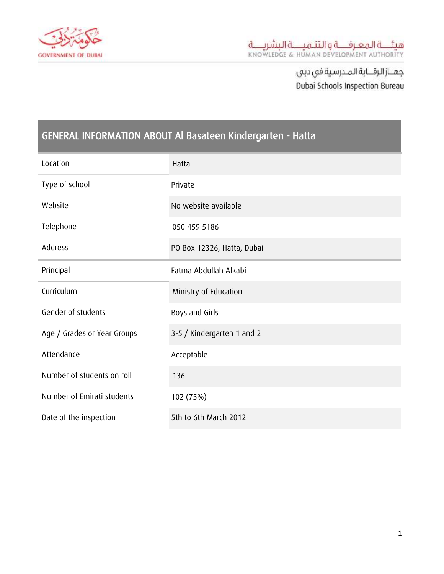

## GENERAL INFORMATION ABOUT Al Basateen Kindergarten - Hatta

| Location                    | Hatta                      |
|-----------------------------|----------------------------|
| Type of school              | Private                    |
| Website                     | No website available       |
| Telephone                   | 050 459 5186               |
| Address                     | PO Box 12326, Hatta, Dubai |
| Principal                   | Fatma Abdullah Alkabi      |
| Curriculum                  | Ministry of Education      |
| Gender of students          | Boys and Girls             |
| Age / Grades or Year Groups | 3-5 / Kindergarten 1 and 2 |
| Attendance                  | Acceptable                 |
| Number of students on roll  | 136                        |
| Number of Emirati students  | 102 (75%)                  |
| Date of the inspection      | 5th to 6th March 2012      |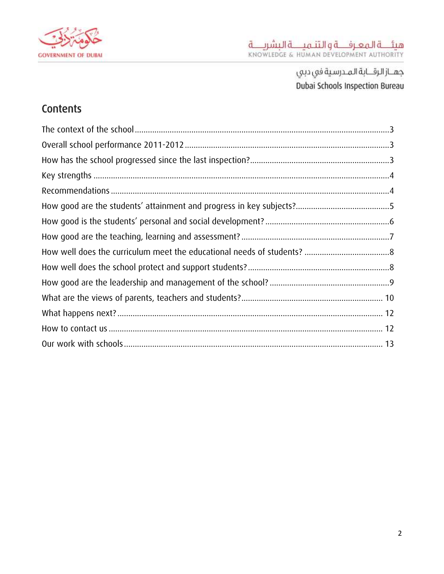

## Contents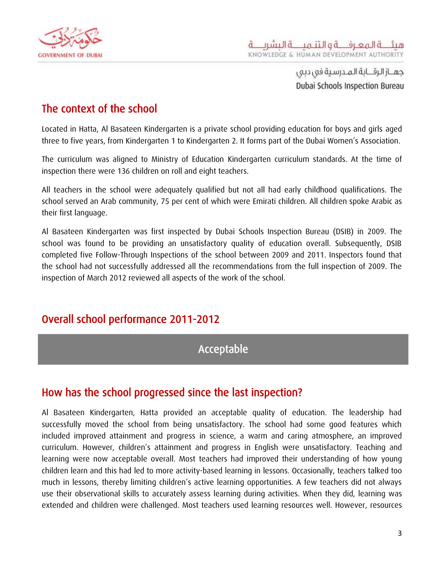

#### <span id="page-3-0"></span>The context of the school

Located in Hatta, Al Basateen Kindergarten is a private school providing education for boys and girls aged three to five years, from Kindergarten 1 to Kindergarten 2. It forms part of the Dubai Women's Association.

The curriculum was aligned to Ministry of Education Kindergarten curriculum standards. At the time of inspection there were 136 children on roll and eight teachers.

All teachers in the school were adequately qualified but not all had early childhood qualifications. The school served an Arab community, 75 per cent of which were Emirati children. All children spoke Arabic as their first language.

Al Basateen Kindergarten was first inspected by Dubai Schools Inspection Bureau (DSIB) in 2009. The school was found to be providing an unsatisfactory quality of education overall. Subsequently, DSIB completed five Follow-Through Inspections of the school between 2009 and 2011. Inspectors found that the school had not successfully addressed all the recommendations from the full inspection of 2009. The inspection of March 2012 reviewed all aspects of the work of the school.

#### <span id="page-3-1"></span>Overall school performance 2011-2012

#### Acceptable

#### <span id="page-3-2"></span>How has the school progressed since the last inspection?

Al Basateen Kindergarten, Hatta provided an acceptable quality of education. The leadership had successfully moved the school from being unsatisfactory. The school had some good features which included improved attainment and progress in science, a warm and caring atmosphere, an improved curriculum. However, children's attainment and progress in English were unsatisfactory. Teaching and learning were now acceptable overall. Most teachers had improved their understanding of how young children learn and this had led to more activity-based learning in lessons. Occasionally, teachers talked too much in lessons, thereby limiting children's active learning opportunities. A few teachers did not always use their observational skills to accurately assess learning during activities. When they did, learning was extended and children were challenged. Most teachers used learning resources well. However, resources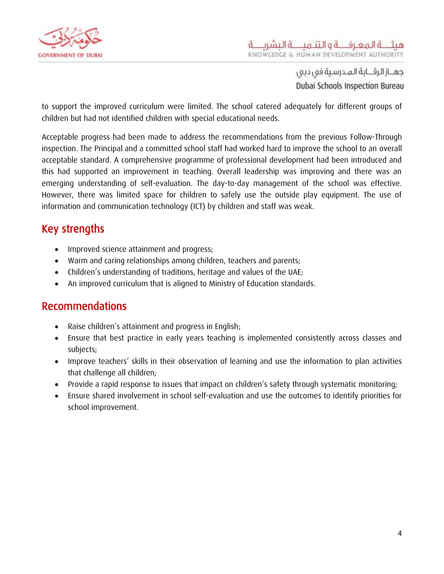

to support the improved curriculum were limited. The school catered adequately for different groups of children but had not identified children with special educational needs.

Acceptable progress had been made to address the recommendations from the previous Follow-Through inspection. The Principal and a committed school staff had worked hard to improve the school to an overall acceptable standard. A comprehensive programme of professional development had been introduced and this had supported an improvement in teaching. Overall leadership was improving and there was an emerging understanding of self-evaluation. The day-to-day management of the school was effective. However, there was limited space for children to safely use the outside play equipment. The use of information and communication technology (ICT) by children and staff was weak.

## <span id="page-4-0"></span>Key strengths

- Improved science attainment and progress;
- Warm and caring relationships among children, teachers and parents;
- Children's understanding of traditions, heritage and values of the UAE;
- An improved curriculum that is aligned to Ministry of Education standards.

#### <span id="page-4-1"></span>Recommendations

- Raise children's attainment and progress in English;
- Ensure that best practice in early years teaching is implemented consistently across classes and subjects;
- Improve teachers' skills in their observation of learning and use the information to plan activities that challenge all children;
- Provide a rapid response to issues that impact on children's safety through systematic monitoring;
- Ensure shared involvement in school self-evaluation and use the outcomes to identify priorities for school improvement.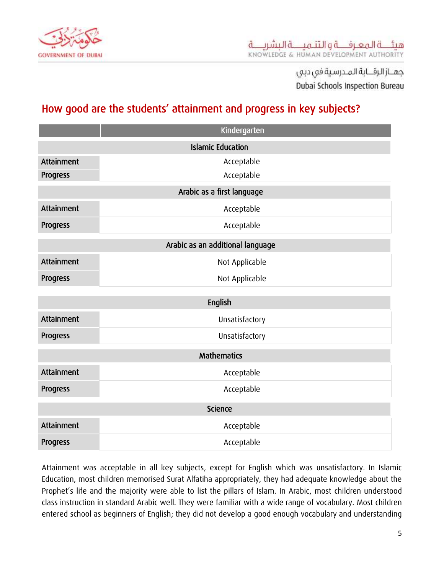

## <span id="page-5-0"></span>How good are the students' attainment and progress in key subjects?

|                | Kindergarten                     |  |
|----------------|----------------------------------|--|
|                | <b>Islamic Education</b>         |  |
| Attainment     | Acceptable                       |  |
| Progress       | Acceptable                       |  |
|                | Arabic as a first language       |  |
| Attainment     | Acceptable                       |  |
| Progress       | Acceptable                       |  |
|                | Arabic as an additional language |  |
| Attainment     | Not Applicable                   |  |
| Progress       | Not Applicable                   |  |
|                | English                          |  |
| Attainment     | Unsatisfactory                   |  |
| Progress       | Unsatisfactory                   |  |
|                | <b>Mathematics</b>               |  |
| Attainment     | Acceptable                       |  |
| Progress       | Acceptable                       |  |
| <b>Science</b> |                                  |  |
| Attainment     | Acceptable                       |  |
| Progress       | Acceptable                       |  |

Attainment was acceptable in all key subjects, except for English which was unsatisfactory. In Islamic Education, most children memorised Surat Alfatiha appropriately, they had adequate knowledge about the Prophet's life and the majority were able to list the pillars of Islam. In Arabic, most children understood class instruction in standard Arabic well. They were familiar with a wide range of vocabulary. Most children entered school as beginners of English; they did not develop a good enough vocabulary and understanding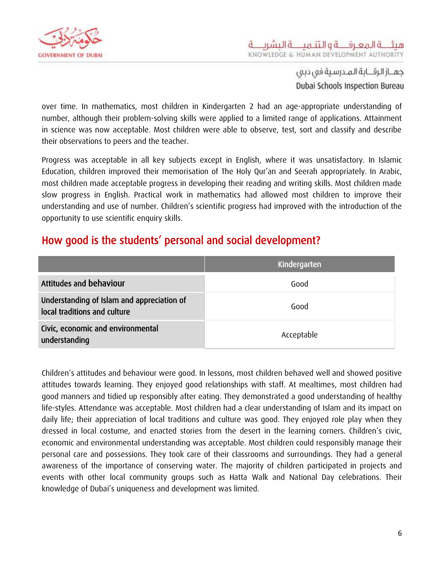

over time. In mathematics, most children in Kindergarten 2 had an age-appropriate understanding of number, although their problem-solving skills were applied to a limited range of applications. Attainment in science was now acceptable. Most children were able to observe, test, sort and classify and describe their observations to peers and the teacher.

Progress was acceptable in all key subjects except in English, where it was unsatisfactory. In Islamic Education, children improved their memorisation of The Holy Qur'an and Seerah appropriately. In Arabic, most children made acceptable progress in developing their reading and writing skills. Most children made slow progress in English. Practical work in mathematics had allowed most children to improve their understanding and use of number. Children's scientific progress had improved with the introduction of the opportunity to use scientific enquiry skills.

#### <span id="page-6-0"></span>How good is the students' personal and social development?

|                                                                            | Kindergarten |
|----------------------------------------------------------------------------|--------------|
| Attitudes and behaviour                                                    | Good         |
| Understanding of Islam and appreciation of<br>local traditions and culture | Good         |
| Civic, economic and environmental<br>understanding                         | Acceptable   |

Children's attitudes and behaviour were good. In lessons, most children behaved well and showed positive attitudes towards learning. They enjoyed good relationships with staff. At mealtimes, most children had good manners and tidied up responsibly after eating. They demonstrated a good understanding of healthy life-styles. Attendance was acceptable. Most children had a clear understanding of Islam and its impact on daily life; their appreciation of local traditions and culture was good. They enjoyed role play when they dressed in local costume, and enacted stories from the desert in the learning corners. Children's civic, economic and environmental understanding was acceptable. Most children could responsibly manage their personal care and possessions. They took care of their classrooms and surroundings. They had a general awareness of the importance of conserving water. The majority of children participated in projects and events with other local community groups such as Hatta Walk and National Day celebrations. Their knowledge of Dubai's uniqueness and development was limited.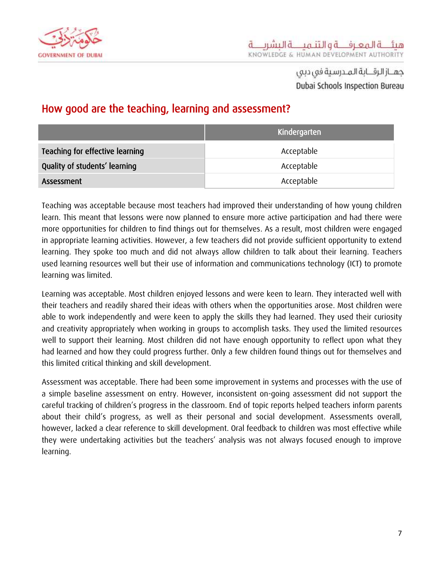

#### <span id="page-7-0"></span>How good are the teaching, learning and assessment?

|                                 | Kindergarten |
|---------------------------------|--------------|
| Teaching for effective learning | Acceptable   |
| Quality of students' learning   | Acceptable   |
| Assessment                      | Acceptable   |

Teaching was acceptable because most teachers had improved their understanding of how young children learn. This meant that lessons were now planned to ensure more active participation and had there were more opportunities for children to find things out for themselves. As a result, most children were engaged in appropriate learning activities. However, a few teachers did not provide sufficient opportunity to extend learning. They spoke too much and did not always allow children to talk about their learning. Teachers used learning resources well but their use of information and communications technology (ICT) to promote learning was limited.

Learning was acceptable. Most children enjoyed lessons and were keen to learn. They interacted well with their teachers and readily shared their ideas with others when the opportunities arose. Most children were able to work independently and were keen to apply the skills they had learned. They used their curiosity and creativity appropriately when working in groups to accomplish tasks. They used the limited resources well to support their learning. Most children did not have enough opportunity to reflect upon what they had learned and how they could progress further. Only a few children found things out for themselves and this limited critical thinking and skill development.

Assessment was acceptable. There had been some improvement in systems and processes with the use of a simple baseline assessment on entry. However, inconsistent on-going assessment did not support the careful tracking of children's progress in the classroom. End of topic reports helped teachers inform parents about their child's progress, as well as their personal and social development. Assessments overall, however, lacked a clear reference to skill development. Oral feedback to children was most effective while they were undertaking activities but the teachers' analysis was not always focused enough to improve learning.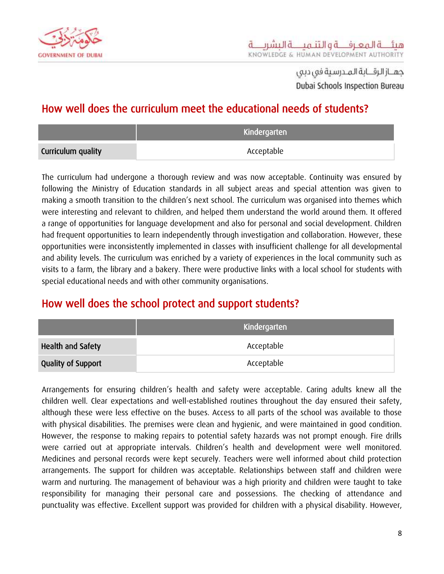

## <span id="page-8-0"></span>How well does the curriculum meet the educational needs of students?

|                    | Kindergarten |  |
|--------------------|--------------|--|
| Curriculum quality | Acceptable   |  |

The curriculum had undergone a thorough review and was now acceptable. Continuity was ensured by following the Ministry of Education standards in all subject areas and special attention was given to making a smooth transition to the children's next school. The curriculum was organised into themes which were interesting and relevant to children, and helped them understand the world around them. It offered a range of opportunities for language development and also for personal and social development. Children had frequent opportunities to learn independently through investigation and collaboration. However, these opportunities were inconsistently implemented in classes with insufficient challenge for all developmental and ability levels. The curriculum was enriched by a variety of experiences in the local community such as visits to a farm, the library and a bakery. There were productive links with a local school for students with special educational needs and with other community organisations.

## <span id="page-8-1"></span>How well does the school protect and support students?

|                           | Kindergarten |  |
|---------------------------|--------------|--|
| <b>Health and Safety</b>  | Acceptable   |  |
| <b>Quality of Support</b> | Acceptable   |  |

Arrangements for ensuring children's health and safety were acceptable. Caring adults knew all the children well. Clear expectations and well-established routines throughout the day ensured their safety, although these were less effective on the buses. Access to all parts of the school was available to those with physical disabilities. The premises were clean and hygienic, and were maintained in good condition. However, the response to making repairs to potential safety hazards was not prompt enough. Fire drills were carried out at appropriate intervals. Children's health and development were well monitored. Medicines and personal records were kept securely. Teachers were well informed about child protection arrangements. The support for children was acceptable. Relationships between staff and children were warm and nurturing. The management of behaviour was a high priority and children were taught to take responsibility for managing their personal care and possessions. The checking of attendance and punctuality was effective. Excellent support was provided for children with a physical disability. However,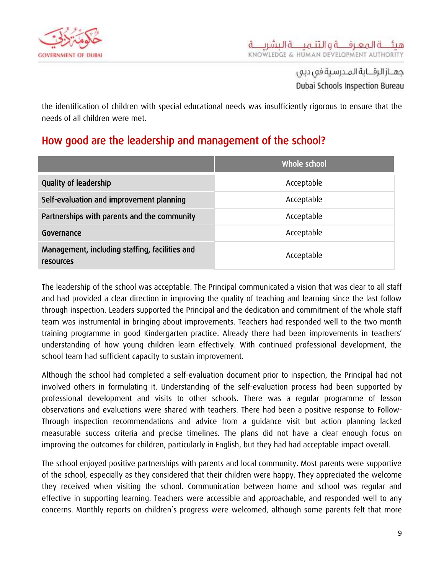

the identification of children with special educational needs was insufficiently rigorous to ensure that the needs of all children were met.

## <span id="page-9-0"></span>How good are the leadership and management of the school?

|                                                             | Whole school |
|-------------------------------------------------------------|--------------|
| <b>Quality of leadership</b>                                | Acceptable   |
| Self-evaluation and improvement planning                    | Acceptable   |
| Partnerships with parents and the community                 | Acceptable   |
| Governance                                                  | Acceptable   |
| Management, including staffing, facilities and<br>resources | Acceptable   |

The leadership of the school was acceptable. The Principal communicated a vision that was clear to all staff and had provided a clear direction in improving the quality of teaching and learning since the last follow through inspection. Leaders supported the Principal and the dedication and commitment of the whole staff team was instrumental in bringing about improvements. Teachers had responded well to the two month training programme in good Kindergarten practice. Already there had been improvements in teachers' understanding of how young children learn effectively. With continued professional development, the school team had sufficient capacity to sustain improvement.

Although the school had completed a self-evaluation document prior to inspection, the Principal had not involved others in formulating it. Understanding of the self-evaluation process had been supported by professional development and visits to other schools. There was a regular programme of lesson observations and evaluations were shared with teachers. There had been a positive response to Follow-Through inspection recommendations and advice from a guidance visit but action planning lacked measurable success criteria and precise timelines. The plans did not have a clear enough focus on improving the outcomes for children, particularly in English, but they had had acceptable impact overall.

The school enjoyed positive partnerships with parents and local community. Most parents were supportive of the school, especially as they considered that their children were happy. They appreciated the welcome they received when visiting the school. Communication between home and school was regular and effective in supporting learning. Teachers were accessible and approachable, and responded well to any concerns. Monthly reports on children's progress were welcomed, although some parents felt that more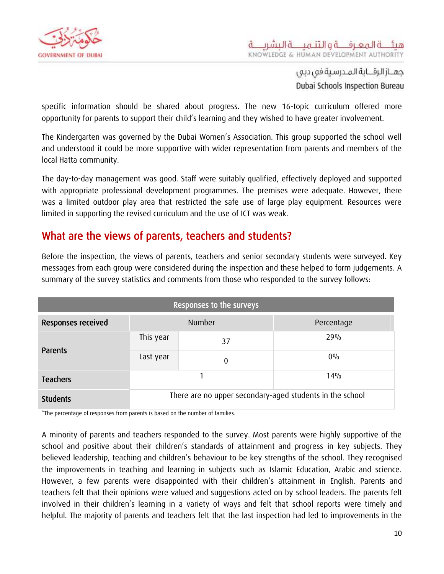

specific information should be shared about progress. The new 16-topic curriculum offered more opportunity for parents to support their child's learning and they wished to have greater involvement.

The Kindergarten was governed by the Dubai Women's Association. This group supported the school well and understood it could be more supportive with wider representation from parents and members of the local Hatta community.

The day-to-day management was good. Staff were suitably qualified, effectively deployed and supported with appropriate professional development programmes. The premises were adequate. However, there was a limited outdoor play area that restricted the safe use of large play equipment. Resources were limited in supporting the revised curriculum and the use of ICT was weak.

#### <span id="page-10-0"></span>What are the views of parents, teachers and students?

Before the inspection, the views of parents, teachers and senior secondary students were surveyed. Key messages from each group were considered during the inspection and these helped to form judgements. A summary of the survey statistics and comments from those who responded to the survey follows:

| <b>Responses to the surveys</b> |                                                          |    |            |
|---------------------------------|----------------------------------------------------------|----|------------|
| Responses received              | <b>Number</b>                                            |    | Percentage |
| Parents                         | This year                                                | 37 | 29%        |
|                                 | Last year                                                | 0  | $0\%$      |
| <b>Teachers</b>                 |                                                          |    | 14%        |
| <b>Students</b>                 | There are no upper secondary-aged students in the school |    |            |

\*The percentage of responses from parents is based on the number of families.

A minority of parents and teachers responded to the survey. Most parents were highly supportive of the school and positive about their children's standards of attainment and progress in key subjects. They believed leadership, teaching and children's behaviour to be key strengths of the school. They recognised the improvements in teaching and learning in subjects such as Islamic Education, Arabic and science. However, a few parents were disappointed with their children's attainment in English. Parents and teachers felt that their opinions were valued and suggestions acted on by school leaders. The parents felt involved in their children's learning in a variety of ways and felt that school reports were timely and helpful. The majority of parents and teachers felt that the last inspection had led to improvements in the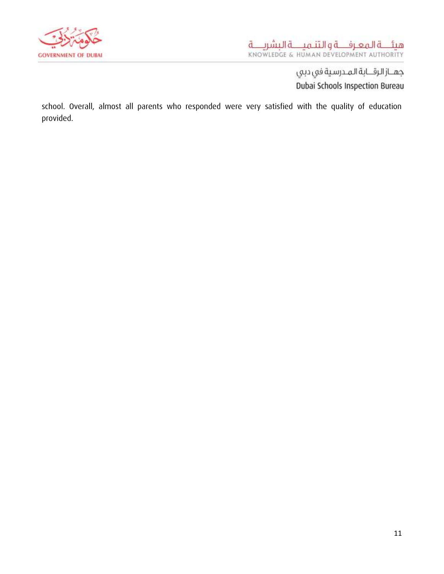

school. Overall, almost all parents who responded were very satisfied with the quality of education provided.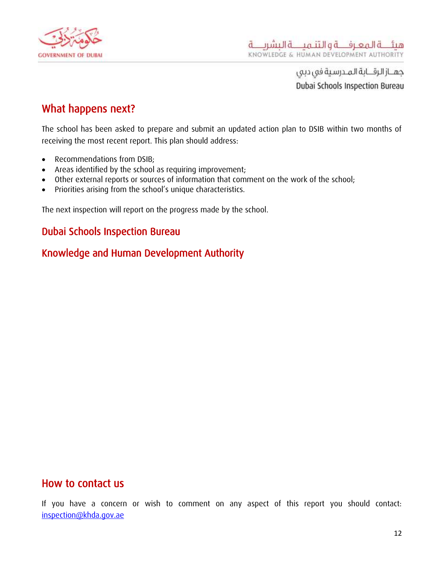

#### <span id="page-12-0"></span>What happens next?

The school has been asked to prepare and submit an updated action plan to DSIB within two months of receiving the most recent report. This plan should address:

- Recommendations from DSIB:
- Areas identified by the school as requiring improvement;
- Other external reports or sources of information that comment on the work of the school;
- Priorities arising from the school's unique characteristics.

The next inspection will report on the progress made by the school.

#### Dubai Schools Inspection Bureau

#### Knowledge and Human Development Authority

#### <span id="page-12-1"></span>How to contact us

If you have a concern or wish to comment on any aspect of this report you should contact: [inspection@khda.gov.ae](mailto:inspection@khda.gov.ae)